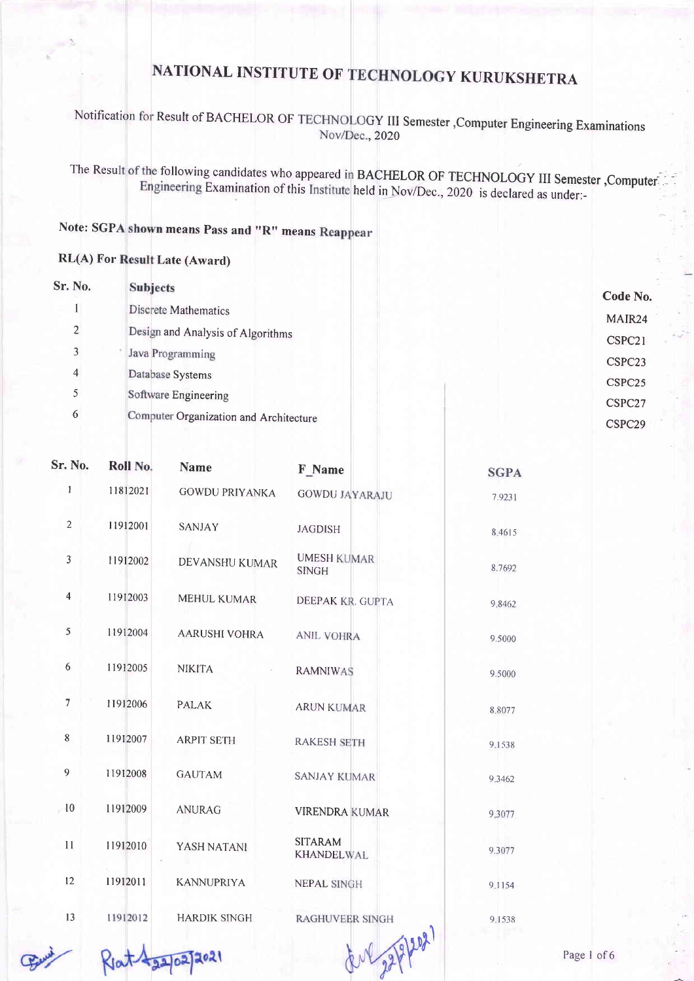### Notification for Result of BACHELOR OF TECHNOLOGY III Semester ,Computer Engineering Examinations Nov/Dec., 2020

The Result of the following candidates who appeared in BACHELOR OF TECHNOLOGY III Semester, Computer Examination of this Institute held in Nov/Dec., 2020 is declared as under:

### Note: SGPA shown means Pass and "R" means

#### RL(A) For Result Late (Award)

| Sr. No.        | <b>Subjects</b>                        | Code No.           |
|----------------|----------------------------------------|--------------------|
|                | Discrete Mathematics                   |                    |
| $\overline{2}$ | Design and Analysis of Algorithms      | MAIR24<br>CSPC21   |
| 3              | Java Programming                       | CSPC23             |
| $\overline{4}$ | Database Systems                       | CSPC <sub>25</sub> |
| 5              | Software Engineering                   | CSPC27             |
| 6              | Computer Organization and Architecture | CSPC <sub>29</sub> |

| Sr. No.        | Roll No. | <b>Name</b>           | F Name                             | <b>SGPA</b> |
|----------------|----------|-----------------------|------------------------------------|-------------|
| $\mathbf{1}$   | 11812021 | <b>GOWDU PRIYANKA</b> | <b>GOWDU JAYARAJU</b>              | 7.9231      |
| $\overline{2}$ | 11912001 | <b>SANJAY</b>         | <b>JAGDISH</b>                     | 8,4615      |
| 3              | 11912002 | DEVANSHU KUMAR        | <b>UMESH KUMAR</b><br><b>SINGH</b> | 8.7692      |
| $\overline{4}$ | 11912003 | <b>MEHUL KUMAR</b>    | DEEPAK KR. GUPTA                   | 9.8462      |
| 5              | 11912004 | <b>AARUSHI VOHRA</b>  | <b>ANIL VOHRA</b>                  | 9.5000      |
| 6              | 11912005 | <b>NIKITA</b>         | <b>RAMNIWAS</b>                    | 9.5000      |
| $\overline{7}$ | 11912006 | <b>PALAK</b>          | <b>ARUN KUMAR</b>                  | 8.8077      |
| 8              | 11912007 | <b>ARPIT SETH</b>     | <b>RAKESH SETH</b>                 | 9.1538      |
| 9              | 11912008 | <b>GAUTAM</b>         | <b>SANJAY KUMAR</b>                | 9.3462      |
| 10             | 11912009 | <b>ANURAG</b>         | <b>VIRENDRA KUMAR</b>              | 9.3077      |
| 11             | 11912010 | YASH NATANI           | <b>SITARAM</b><br>KHANDELWAL       | 9.3077      |
| 12             | 11912011 | <b>KANNUPRIYA</b>     | <b>NEPAL SINGH</b>                 | 9.1154      |
| 13             | 11912012 | <b>HARDIK SINGH</b>   | <b>RAGHUVEER SINGH</b><br>A        | 9.1538      |

 $R_{1}at\frac{1}{2}a^{2}a^{2}}$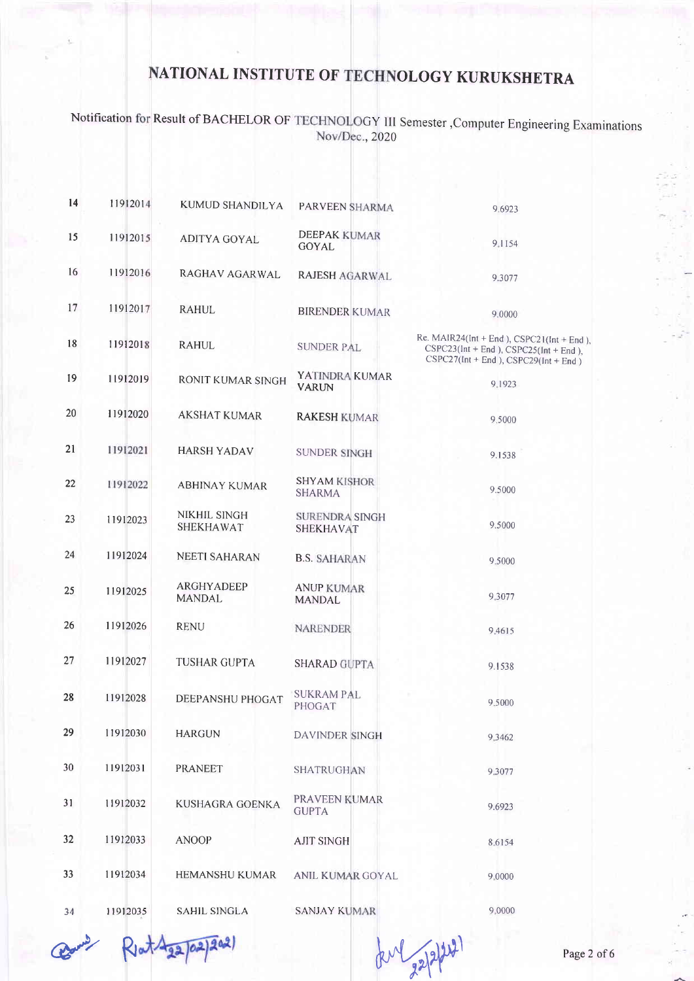### Notification for Result of BACHELOR OF TECHNOLOGY III Semester ,Computer Engineering Examinations Nov/Dec., 2020

| 14 | 11912014 | <b>KUMUD SHANDILYA</b>             | PARVEEN SHARMA                            | 9.6923                                                                                                                         |
|----|----------|------------------------------------|-------------------------------------------|--------------------------------------------------------------------------------------------------------------------------------|
| 15 | 11912015 | <b>ADITYA GOYAL</b>                | <b>DEEPAK KUMAR</b><br><b>GOYAL</b>       | 9.1154                                                                                                                         |
| 16 | 11912016 | RAGHAV AGARWAL                     | RAJESH AGARWAL                            | 9.3077                                                                                                                         |
| 17 | 11912017 | RAHUL                              | <b>BIRENDER KUMAR</b>                     | 9.0000                                                                                                                         |
| 18 | 11912018 | <b>RAHUL</b>                       | <b>SUNDER PAL</b>                         | Re. MAIR24(Int + End), CSPC21(Int + End),<br>$CSPC23(int + End), CSPC25(int + End),$<br>$CSPC27(int + End), CSPC29(int + End)$ |
| 19 | 11912019 | RONIT KUMAR SINGH                  | YATINDRA KUMAR<br><b>VARUN</b>            | 9 1923                                                                                                                         |
| 20 | 11912020 | <b>AKSHAT KUMAR</b>                | <b>RAKESH KUMAR</b>                       | 9.5000                                                                                                                         |
| 21 | 11912021 | <b>HARSH YADAV</b>                 | SUNDER SINGH                              | 9.1538                                                                                                                         |
| 22 | 11912022 | <b>ABHINAY KUMAR</b>               | <b>SHYAM KISHOR</b><br><b>SHARMA</b>      | 9.5000                                                                                                                         |
| 23 | 11912023 | NIKHIL SINGH<br><b>SHEKHAWAT</b>   | <b>SURENDRA SINGH</b><br><b>SHEKHAVAT</b> | 9.5000                                                                                                                         |
| 24 | 11912024 | <b>NEETI SAHARAN</b>               | <b>B.S. SAHARAN</b>                       | 9.5000                                                                                                                         |
| 25 | 11912025 | <b>ARGHYADEEP</b><br><b>MANDAL</b> | <b>ANUP KUMAR</b><br><b>MANDAL</b>        | 9.3077                                                                                                                         |
| 26 | 11912026 | <b>RENU</b>                        | <b>NARENDER</b>                           | 9.4615                                                                                                                         |
| 27 | 11912027 | <b>TUSHAR GUPTA</b>                | <b>SHARAD GUPTA</b>                       | 9.1538                                                                                                                         |
| 28 | 11912028 | DEEPANSHU PHOGAT                   | <b>SUKRAM PAL</b><br>PHOGAT               | 9.5000                                                                                                                         |
| 29 | 11912030 | <b>HARGUN</b>                      | DAVINDER SINGH                            | 9.3462                                                                                                                         |
| 30 | 11912031 | <b>PRANEET</b>                     | SHATRUGHAN                                | 9.3077                                                                                                                         |
| 31 | 11912032 | KUSHAGRA GOENKA                    | PRAVEEN KUMAR<br><b>GUPTA</b>             | 9.6923                                                                                                                         |
| 32 | 11912033 | <b>ANOOP</b>                       | <b>AJIT SINGH</b>                         | 8.6154                                                                                                                         |
| 33 | 11912034 | <b>HEMANSHU KUMAR</b>              | ANIL KUMAR GOYAL                          | 9,0000                                                                                                                         |
| 34 | 11912035 | <b>SAHIL SINGLA</b>                | <b>SANJAY KUMAR</b>                       | 9,0000                                                                                                                         |

agan<sup>y</sup> R  $202$ 

for 22/2/24)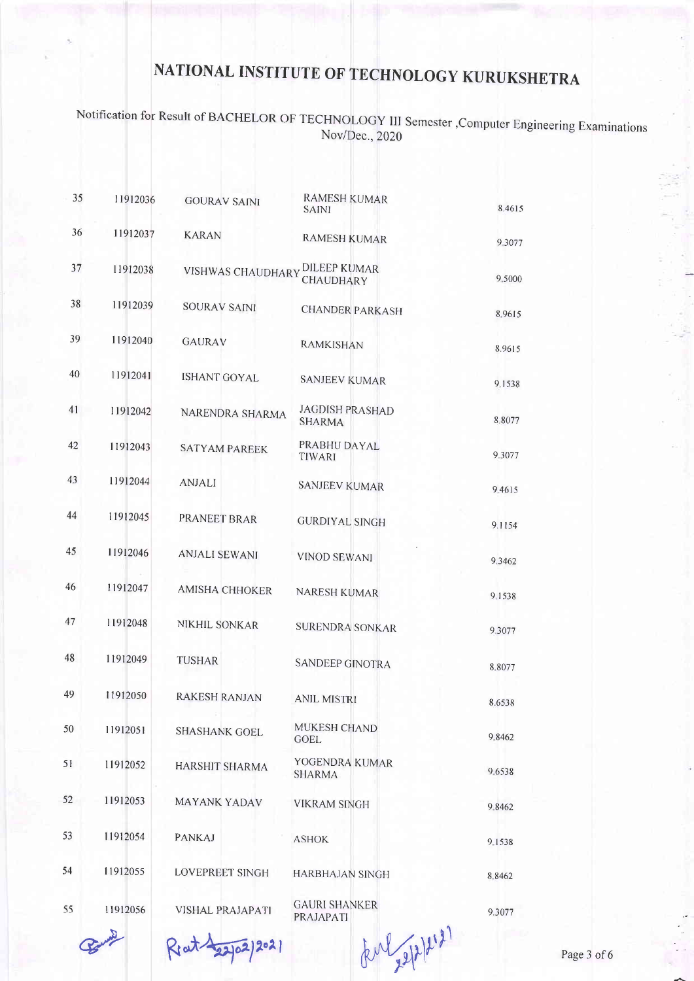# Notification for Result of BACHELOR OF TECHNOLOGY III Semester , Computer Engineering Examinations<br>Nov/Dec., 2020

| 35 | 11912036 | <b>GOURAV SAINI</b>     | <b>RAMESH KUMAR</b><br><b>SAINI</b>     | 8.4615 |
|----|----------|-------------------------|-----------------------------------------|--------|
| 36 | 11912037 | <b>KARAN</b>            | <b>RAMESH KUMAR</b>                     | 9.3077 |
| 37 | 11912038 | VISHWAS CHAUDHARY       | <b>DILEEP KUMAR</b><br>CHAUDHARY        | 9.5000 |
| 38 | 11912039 | SOURAV SAINI            | <b>CHANDER PARKASH</b>                  | 8.9615 |
| 39 | 11912040 | GAURAV                  | <b>RAMKISHAN</b>                        | 8.9615 |
| 40 | 11912041 | <b>ISHANT GOYAL</b>     | <b>SANJEEV KUMAR</b>                    | 9.1538 |
| 41 | 11912042 | NARENDRA SHARMA         | <b>JAGDISH PRASHAD</b><br><b>SHARMA</b> | 8.8077 |
| 42 | 11912043 | <b>SATYAM PAREEK</b>    | PRABHU DAYAL<br>TIWARI                  | 9.3077 |
| 43 | 11912044 | <b>ANJALI</b>           | <b>SANJEEV KUMAR</b>                    | 9.4615 |
| 44 | 11912045 | <b>PRANEET BRAR</b>     | <b>GURDIYAL SINGH</b>                   | 9.1154 |
| 45 | 11912046 | <b>ANJALI SEWANI</b>    | <b>VINOD SEWANI</b>                     | 9,3462 |
| 46 | 11912047 | <b>AMISHA CHHOKER</b>   | <b>NARESH KUMAR</b>                     | 9.1538 |
| 47 | 11912048 | NIKHIL SONKAR           | <b>SURENDRA SONKAR</b>                  | 9.3077 |
| 48 | 11912049 | <b>TUSHAR</b>           | SANDEEP GINOTRA                         | 8.8077 |
| 49 | 11912050 | <b>RAKESH RANJAN</b>    | <b>ANIL MISTRI</b>                      | 8.6538 |
| 50 | 11912051 | <b>SHASHANK GOEL</b>    | MUKESH CHAND<br><b>GOEL</b>             | 9.8462 |
| 51 | 11912052 | HARSHIT SHARMA          | YOGENDRA KUMAR<br><b>SHARMA</b>         | 9.6538 |
| 52 | 11912053 | <b>MAYANK YADAV</b>     | <b>VIKRAM SINGH</b>                     | 9.8462 |
| 53 | 11912054 | <b>PANKAJ</b>           | <b>ASHOK</b>                            | 9.1538 |
| 54 | 11912055 | LOVEPREET SINGH         | <b>HARBHAJAN SINGH</b>                  | 8.8462 |
| 55 | 11912056 | <b>VISHAL PRAJAPATI</b> | <b>GAURI SHANKER</b><br>PRAJAPATI       | 9.3077 |

Ret 122/02/2021

tenl 22/2/2121

Page 3 of 6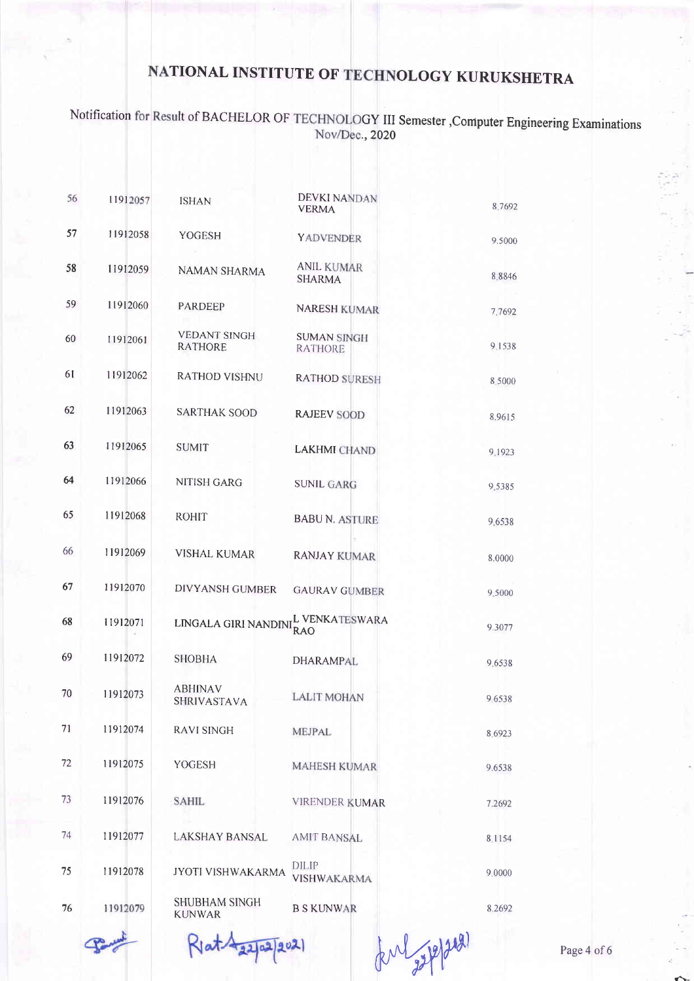### Notification for Result of BACHELOR OF TECHNOLOGY III Semester , Computer Engineering Examinations Nov/Dec., 2020

| 56 | 11912057 | <b>ISHAN</b>                          | <b>DEVKI NANDAN</b><br><b>VERMA</b>  | 8.7692 |
|----|----------|---------------------------------------|--------------------------------------|--------|
| 57 | 11912058 | YOGESH                                | <b>YADVENDER</b>                     | 9.5000 |
| 58 | 11912059 | NAMAN SHARMA                          | <b>ANIL KUMAR</b><br><b>SHARMA</b>   | 8.8846 |
| 59 | 11912060 | <b>PARDEEP</b>                        | <b>NARESH KUMAR</b>                  | 7.7692 |
| 60 | 11912061 | <b>VEDANT SINGH</b><br><b>RATHORE</b> | <b>SUMAN SINGH</b><br><b>RATHORE</b> | 9.1538 |
| 61 | 11912062 | <b>RATHOD VISHNU</b>                  | <b>RATHOD SURESH</b>                 | 8,5000 |
| 62 | 11912063 | <b>SARTHAK SOOD</b>                   | <b>RAJEEV SOOD</b>                   | 8.9615 |
| 63 | 11912065 | <b>SUMIT</b>                          | <b>LAKHMI CHAND</b>                  | 9.1923 |
| 64 | 11912066 | NITISH GARG                           | <b>SUNIL GARG</b>                    | 9.5385 |
| 65 | 11912068 | <b>ROHIT</b>                          | <b>BABU N. ASTURE</b>                | 9.6538 |
| 66 | 11912069 | <b>VISHAL KUMAR</b>                   | <b>RANJAY KUMAR</b>                  | 8.0000 |
| 67 | 11912070 | DIVYANSH GUMBER                       | <b>GAURAV GUMBER</b>                 | 9.5000 |
| 68 | 11912071 | LINGALA GIRI NANDINI                  | L VENKATESWARA<br><b>RAO</b>         | 9.3077 |
| 69 | 11912072 | <b>SHOBHA</b>                         | <b>DHARAMPAL</b>                     | 9.6538 |
| 70 | 11912073 | <b>ABHINAV</b><br><b>SHRIVASTAVA</b>  | <b>LALIT MOHAN</b>                   | 9.6538 |
| 71 | 11912074 | <b>RAVI SINGH</b>                     | MEJPAL                               | 8.6923 |
| 72 | 11912075 | YOGESH                                | <b>MAHESH KUMAR</b>                  | 9.6538 |
| 73 | 11912076 | <b>SAHIL</b>                          | <b>VIRENDER KUMAR</b>                | 7.2692 |
| 74 | 11912077 | <b>LAKSHAY BANSAL</b>                 | <b>AMIT BANSAL</b>                   | 8.1154 |
| 75 | 11912078 | <b>JYOTI VISHWAKARMA</b>              | DILIP<br>VISHWAKARMA                 | 9,0000 |
| 76 | 11912079 | <b>SHUBHAM SINGH</b><br><b>KUNWAR</b> | <b>B S KUNWAR</b>                    | 8.2692 |

Riat 422/02/2021

forl sepper

Page 4 of 6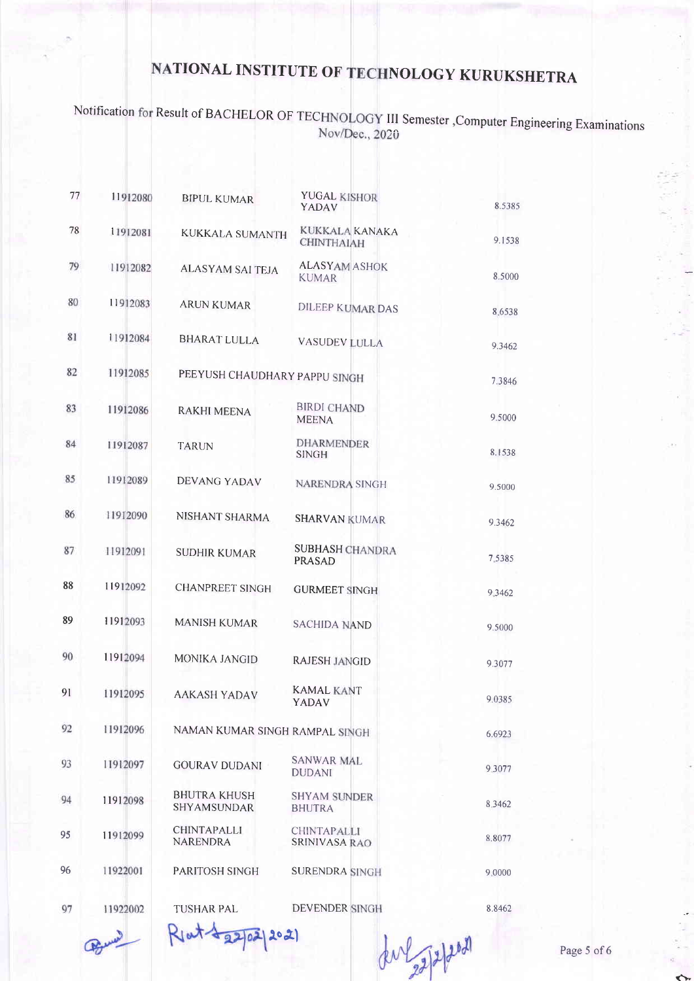## Notification for Result of BACHELOR OF TECHNOLOGY III Semester ,Computer Engineering Examinations Nov/Dec., 2020

| 77 | 11912080 | <b>BIPUL KUMAR</b>                        | <b>YUGAL KISHOR</b><br>YADAV            | 8.5385 |
|----|----------|-------------------------------------------|-----------------------------------------|--------|
| 78 | 11912081 | <b>KUKKALA SUMANTH</b>                    | KUKKALA KANAKA<br><b>CHINTHAIAH</b>     | 9.1538 |
| 79 | 11912082 | <b>ALASYAM SAI TEJA</b>                   | <b>ALASYAM ASHOK</b><br><b>KUMAR</b>    | 8.5000 |
| 80 | 11912083 | <b>ARUN KUMAR</b>                         | <b>DILEEP KUMAR DAS</b>                 | 8.6538 |
| 81 | 11912084 | <b>BHARAT LULLA</b>                       | <b>VASUDEV LULLA</b>                    | 9.3462 |
| 82 | 11912085 | PEEYUSH CHAUDHARY PAPPU SINGH             |                                         | 7.3846 |
| 83 | 11912086 | <b>RAKHI MEENA</b>                        | <b>BIRDI CHAND</b><br><b>MEENA</b>      | 9.5000 |
| 84 | 11912087 | <b>TARUN</b>                              | <b>DHARMENDER</b><br><b>SINGH</b>       | 8.1538 |
| 85 | 11912089 | <b>DEVANG YADAV</b>                       | <b>NARENDRA SINGH</b>                   | 9.5000 |
| 86 | 11912090 | NISHANT SHARMA                            | <b>SHARVAN KUMAR</b>                    | 9.3462 |
| 87 | 11912091 | <b>SUDHIR KUMAR</b>                       | <b>SUBHASH CHANDRA</b><br><b>PRASAD</b> | 7.5385 |
| 88 | 11912092 | <b>CHANPREET SINGH</b>                    | <b>GURMEET SINGH</b>                    | 9.3462 |
| 89 | 11912093 | <b>MANISH KUMAR</b>                       | <b>SACHIDA NAND</b>                     | 9.5000 |
| 90 | 11912094 | <b>MONIKA JANGID</b>                      | <b>RAJESH JANGID</b>                    | 9.3077 |
| 91 | 11912095 | <b>AAKASH YADAV</b>                       | <b>KAMAL KANT</b><br>YADAV              | 9.0385 |
| 92 | 11912096 | NAMAN KUMAR SINGH RAMPAL SINGH            |                                         | 6.6923 |
| 93 | 11912097 | <b>GOURAV DUDANI</b>                      | <b>SANWAR MAL</b><br><b>DUDANI</b>      | 9.3077 |
| 94 | 11912098 | <b>BHUTRA KHUSH</b><br><b>SHYAMSUNDAR</b> | <b>SHYAM SUNDER</b><br><b>BHUTRA</b>    | 8.3462 |
| 95 | 11912099 | <b>CHINTAPALLI</b><br><b>NARENDRA</b>     | <b>CHINTAPALLI</b><br>SRINIVASA RAO     | 8.8077 |
| 96 | 11922001 | PARITOSH SINGH                            | <b>SURENDRA SINGH</b>                   | 9,0000 |
| 97 | 11922002 | <b>TUSHAR PAL</b>                         | DEVENDER SINGH                          | 8.8462 |

Bune

Rlat 22/02/2021

auggspron

Page 5 of 6